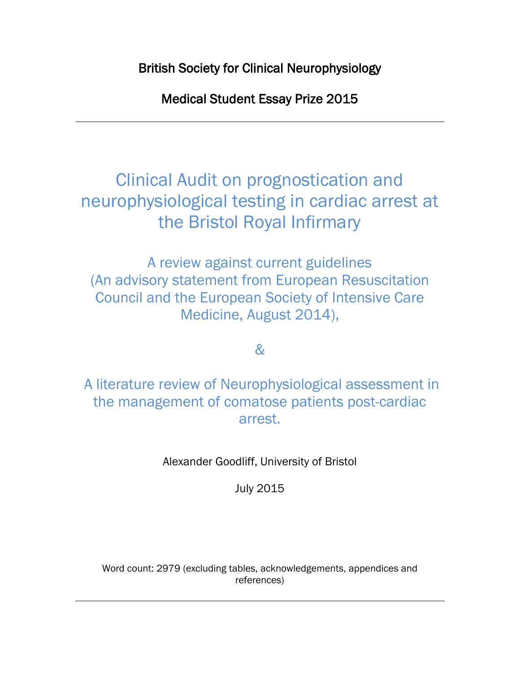British Society for Clinical Neurophysiology

Medical Student Essay Prize 2015

Clinical Audit on prognostication and neurophysiological testing in cardiac arrest at the Bristol Royal Infirmary

A review against current guidelines (An advisory statement from European Resuscitation Council and the European Society of Intensive Care Medicine, August 2014),

 $\mathcal{R}$ 

A literature review of Neurophysiological assessment in the management of comatose patients post-cardiac arrest.

Alexander Goodliff, University of Bristol

July 2015

Word count: 2979 (excluding tables, acknowledgements, appendices and references)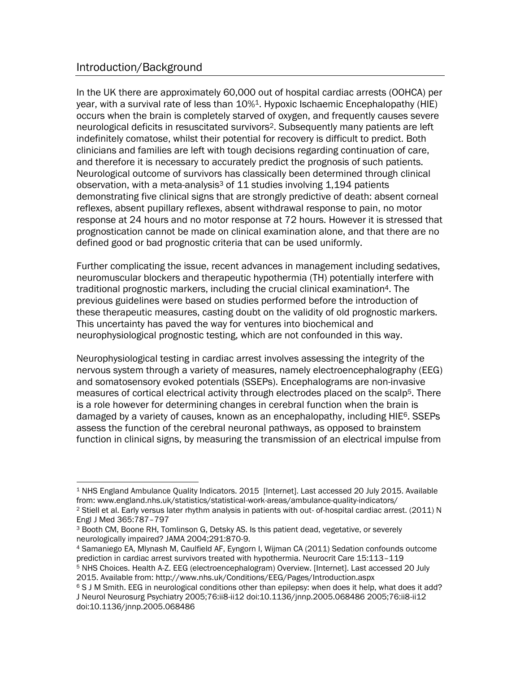## Introduction/Background

In the UK there are approximately 60,000 out of hospital cardiac arrests (OOHCA) per year, with a survival rate of less than 10%<sup>1</sup>. Hypoxic Ischaemic Encephalopathy (HIE) occurs when the brain is completely starved of oxygen, and frequently causes severe neurological deficits in resuscitated survivors2. Subsequently many patients are left indefinitely comatose, whilst their potential for recovery is difficult to predict. Both clinicians and families are left with tough decisions regarding continuation of care, and therefore it is necessary to accurately predict the prognosis of such patients. Neurological outcome of survivors has classically been determined through clinical observation, with a meta-analysis<sup>3</sup> of 11 studies involving 1,194 patients demonstrating five clinical signs that are strongly predictive of death: absent corneal reflexes, absent pupillary reflexes, absent withdrawal response to pain, no motor response at 24 hours and no motor response at 72 hours. However it is stressed that prognostication cannot be made on clinical examination alone, and that there are no defined good or bad prognostic criteria that can be used uniformly.

Further complicating the issue, recent advances in management including sedatives, neuromuscular blockers and therapeutic hypothermia (TH) potentially interfere with traditional prognostic markers, including the crucial clinical examination4. The previous guidelines were based on studies performed before the introduction of these therapeutic measures, casting doubt on the validity of old prognostic markers. This uncertainty has paved the way for ventures into biochemical and neurophysiological prognostic testing, which are not confounded in this way.

Neurophysiological testing in cardiac arrest involves assessing the integrity of the nervous system through a variety of measures, namely electroencephalography (EEG) and somatosensory evoked potentials (SSEPs). Encephalograms are non-invasive measures of cortical electrical activity through electrodes placed on the scalp<sup>5</sup>. There is a role however for determining changes in cerebral function when the brain is damaged by a variety of causes, known as an encephalopathy, including HIE<sup>6</sup>. SSEPs assess the function of the cerebral neuronal pathways, as opposed to brainstem function in clinical signs, by measuring the transmission of an electrical impulse from

 $\overline{a}$ <sup>1</sup> NHS England Ambulance Quality Indicators. 2015 [Internet]. Last accessed 20 July 2015. Available from: www.england.nhs.uk/statistics/statistical-work-areas/ambulance-quality-indicators/

<sup>&</sup>lt;sup>2</sup> Stiell et al. Early versus later rhythm analysis in patients with out- of-hospital cardiac arrest. (2011) N Engl J Med 365:787–797

<sup>3</sup> Booth CM, Boone RH, Tomlinson G, Detsky AS. Is this patient dead, vegetative, or severely neurologically impaired? JAMA 2004;291:870-9.

<sup>4</sup> Samaniego EA, Mlynash M, Caulfield AF, Eyngorn I, Wijman CA (2011) Sedation confounds outcome prediction in cardiac arrest survivors treated with hypothermia. Neurocrit Care 15:113–119

<sup>5</sup> NHS Choices. Health A-Z. EEG (electroencephalogram) Overview. [Internet]. Last accessed 20 July 2015. Available from: http://www.nhs.uk/Conditions/EEG/Pages/Introduction.aspx

<sup>6</sup> S J M Smith. EEG in neurological conditions other than epilepsy: when does it help, what does it add? J Neurol Neurosurg Psychiatry 2005;76:ii8-ii12 doi:10.1136/jnnp.2005.068486 2005;76:ii8-ii12 doi:10.1136/jnnp.2005.068486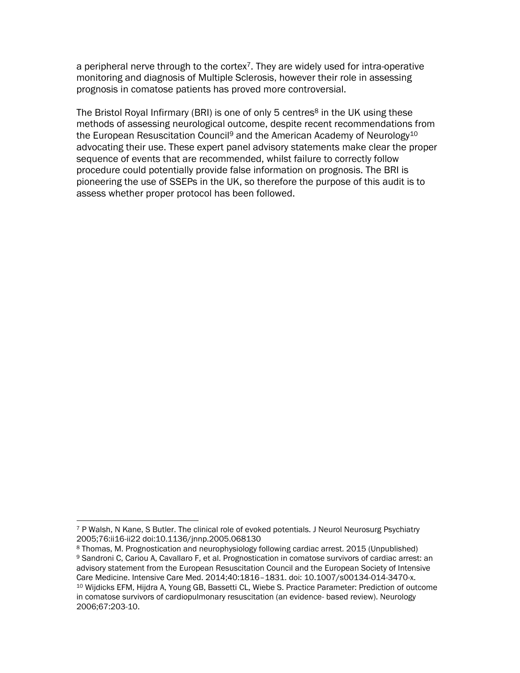a peripheral nerve through to the cortex7. They are widely used for intra-operative monitoring and diagnosis of Multiple Sclerosis, however their role in assessing prognosis in comatose patients has proved more controversial.

The Bristol Royal Infirmary (BRI) is one of only 5 centres<sup>8</sup> in the UK using these methods of assessing neurological outcome, despite recent recommendations from the European Resuscitation Council<sup>9</sup> and the American Academy of Neurology<sup>10</sup> advocating their use. These expert panel advisory statements make clear the proper sequence of events that are recommended, whilst failure to correctly follow procedure could potentially provide false information on prognosis. The BRI is pioneering the use of SSEPs in the UK, so therefore the purpose of this audit is to assess whether proper protocol has been followed.

l <sup>7</sup> P Walsh, N Kane, S Butler. The clinical role of evoked potentials. J Neurol Neurosurg Psychiatry 2005;76:ii16-ii22 doi:10.1136/jnnp.2005.068130

<sup>8</sup> Thomas, M. Prognostication and neurophysiology following cardiac arrest. 2015 (Unpublished) 9 Sandroni C, Cariou A, Cavallaro F, et al. Prognostication in comatose survivors of cardiac arrest: an advisory statement from the European Resuscitation Council and the European Society of Intensive Care Medicine. Intensive Care Med. 2014;40:1816–1831. doi: 10.1007/s00134-014-3470-x. <sup>10</sup> Wijdicks EFM, Hijdra A, Young GB, Bassetti CL, Wiebe S. Practice Parameter: Prediction of outcome in comatose survivors of cardiopulmonary resuscitation (an evidence- based review). Neurology 2006;67:203-10.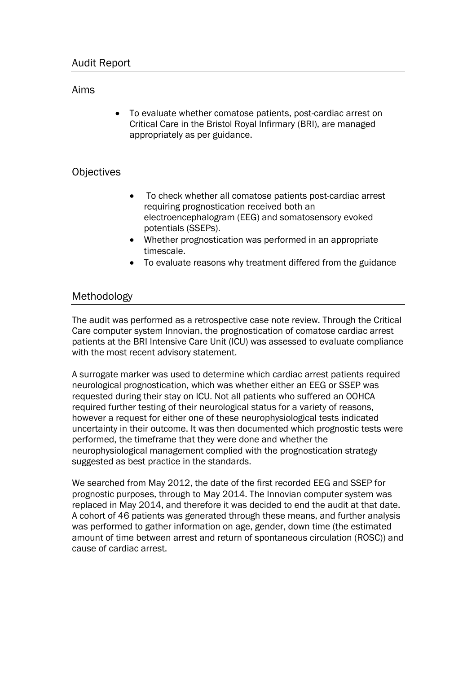#### Aims

 To evaluate whether comatose patients, post-cardiac arrest on Critical Care in the Bristol Royal Infirmary (BRI), are managed appropriately as per guidance.

## **Objectives**

- To check whether all comatose patients post-cardiac arrest requiring prognostication received both an electroencephalogram (EEG) and somatosensory evoked potentials (SSEPs).
- Whether prognostication was performed in an appropriate timescale.
- To evaluate reasons why treatment differed from the guidance

## Methodology

The audit was performed as a retrospective case note review. Through the Critical Care computer system Innovian, the prognostication of comatose cardiac arrest patients at the BRI Intensive Care Unit (ICU) was assessed to evaluate compliance with the most recent advisory statement.

A surrogate marker was used to determine which cardiac arrest patients required neurological prognostication, which was whether either an EEG or SSEP was requested during their stay on ICU. Not all patients who suffered an OOHCA required further testing of their neurological status for a variety of reasons, however a request for either one of these neurophysiological tests indicated uncertainty in their outcome. It was then documented which prognostic tests were performed, the timeframe that they were done and whether the neurophysiological management complied with the prognostication strategy suggested as best practice in the standards.

We searched from May 2012, the date of the first recorded EEG and SSEP for prognostic purposes, through to May 2014. The Innovian computer system was replaced in May 2014, and therefore it was decided to end the audit at that date. A cohort of 46 patients was generated through these means, and further analysis was performed to gather information on age, gender, down time (the estimated amount of time between arrest and return of spontaneous circulation (ROSC)) and cause of cardiac arrest.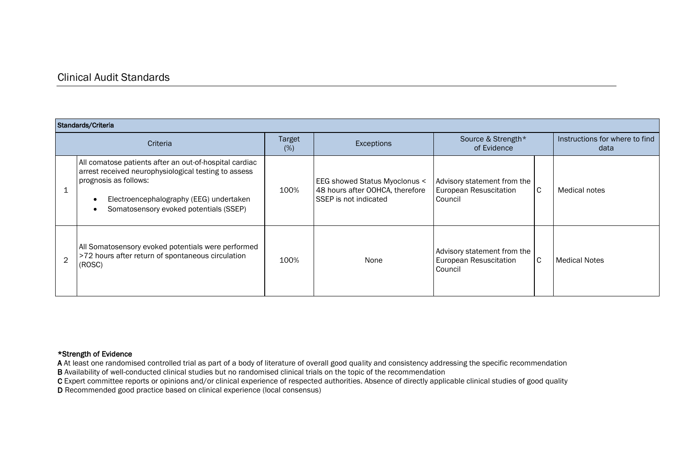#### Clinical Audit Standards

| Standards/Criteria |                                                                                                                                                                                                                              |               |                                                                                           |                                                                  |                                        |                      |  |  |  |
|--------------------|------------------------------------------------------------------------------------------------------------------------------------------------------------------------------------------------------------------------------|---------------|-------------------------------------------------------------------------------------------|------------------------------------------------------------------|----------------------------------------|----------------------|--|--|--|
|                    | Criteria                                                                                                                                                                                                                     | Target<br>(%) | Exceptions                                                                                | Source & Strength*<br>of Evidence                                | Instructions for where to find<br>data |                      |  |  |  |
|                    | All comatose patients after an out-of-hospital cardiac<br>arrest received neurophysiological testing to assess<br>prognosis as follows:<br>Electroencephalography (EEG) undertaken<br>Somatosensory evoked potentials (SSEP) | 100%          | EEG showed Status Myoclonus <<br>48 hours after OOHCA, therefore<br>SSEP is not indicated | Advisory statement from the<br>European Resuscitation<br>Council | $\mathsf{C}$                           | <b>Medical notes</b> |  |  |  |
| $\mathfrak{D}$     | All Somatosensory evoked potentials were performed<br>>72 hours after return of spontaneous circulation<br>(ROSC)                                                                                                            | 100%          | None                                                                                      | Advisory statement from the<br>European Resuscitation<br>Council | C                                      | <b>Medical Notes</b> |  |  |  |

#### \*Strength of Evidence

A At least one randomised controlled trial as part of a body of literature of overall good quality and consistency addressing the specific recommendation B Availability of well-conducted clinical studies but no randomised clinical trials on the topic of the recommendation

C Expert committee reports or opinions and/or clinical experience of respected authorities. Absence of directly applicable clinical studies of good quality

D Recommended good practice based on clinical experience (local consensus)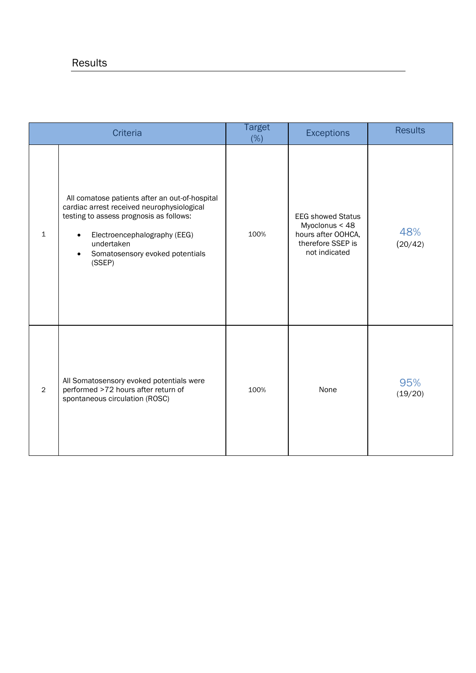|                | <b>Criteria</b>                                                                                                                                                                                                                                              | <b>Target</b><br>(%) | <b>Exceptions</b>                                                                                      | <b>Results</b> |
|----------------|--------------------------------------------------------------------------------------------------------------------------------------------------------------------------------------------------------------------------------------------------------------|----------------------|--------------------------------------------------------------------------------------------------------|----------------|
| $\mathbf{1}$   | All comatose patients after an out-of-hospital<br>cardiac arrest received neurophysiological<br>testing to assess prognosis as follows:<br>Electroencephalography (EEG)<br>$\bullet$<br>undertaken<br>Somatosensory evoked potentials<br>$\bullet$<br>(SSEP) | 100%                 | <b>EEG showed Status</b><br>Myoclonus < 48<br>hours after OOHCA,<br>therefore SSEP is<br>not indicated | 48%<br>(20/42) |
| $\overline{2}$ | All Somatosensory evoked potentials were<br>performed >72 hours after return of<br>spontaneous circulation (ROSC)                                                                                                                                            | 100%                 | None                                                                                                   | 95%<br>(19/20) |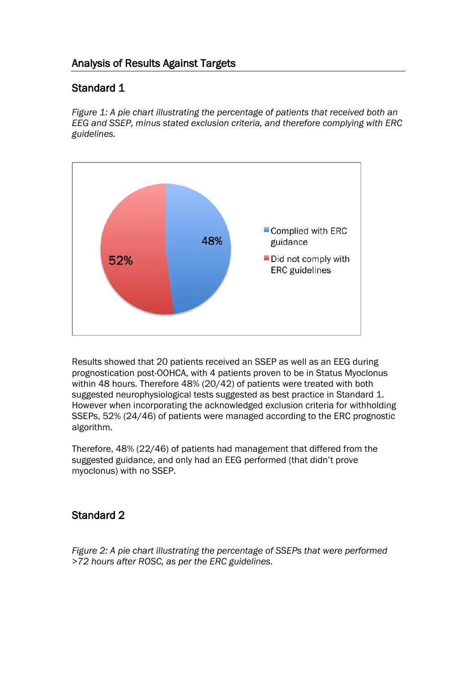## Analysis of Results Against Targets

## Standard 1

*Figure 1: A pie chart illustrating the percentage of patients that received both an EEG and SSEP, minus stated exclusion criteria, and therefore complying with ERC guidelines.*



Results showed that 20 patients received an SSEP as well as an EEG during prognostication post-OOHCA, with 4 patients proven to be in Status Myoclonus within 48 hours. Therefore 48% (20/42) of patients were treated with both suggested neurophysiological tests suggested as best practice in Standard 1. However when incorporating the acknowledged exclusion criteria for withholding SSEPs, 52% (24/46) of patients were managed according to the ERC prognostic algorithm.

Therefore, 48% (22/46) of patients had management that differed from the suggested guidance, and only had an EEG performed (that didn't prove myoclonus) with no SSEP.

## Standard 2

*Figure 2: A pie chart illustrating the percentage of SSEPs that were performed >72 hours after ROSC, as per the ERC guidelines.*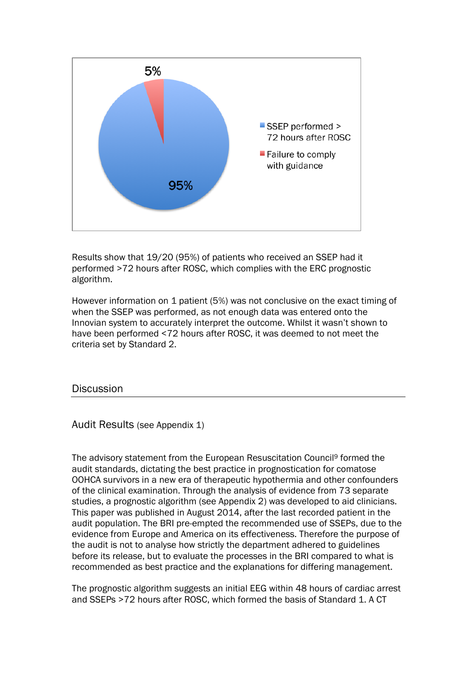

Results show that 19/20 (95%) of patients who received an SSEP had it performed >72 hours after ROSC, which complies with the ERC prognostic algorithm.

However information on 1 patient (5%) was not conclusive on the exact timing of when the SSEP was performed, as not enough data was entered onto the Innovian system to accurately interpret the outcome. Whilst it wasn't shown to have been performed <72 hours after ROSC, it was deemed to not meet the criteria set by Standard 2.

**Discussion** 

Audit Results (see Appendix 1)

The advisory statement from the European Resuscitation Council<sup>9</sup> formed the audit standards, dictating the best practice in prognostication for comatose OOHCA survivors in a new era of therapeutic hypothermia and other confounders of the clinical examination. Through the analysis of evidence from 73 separate studies, a prognostic algorithm (see Appendix 2) was developed to aid clinicians. This paper was published in August 2014, after the last recorded patient in the audit population. The BRI pre-empted the recommended use of SSEPs, due to the evidence from Europe and America on its effectiveness. Therefore the purpose of the audit is not to analyse how strictly the department adhered to guidelines before its release, but to evaluate the processes in the BRI compared to what is recommended as best practice and the explanations for differing management.

The prognostic algorithm suggests an initial EEG within 48 hours of cardiac arrest and SSEPs >72 hours after ROSC, which formed the basis of Standard 1. A CT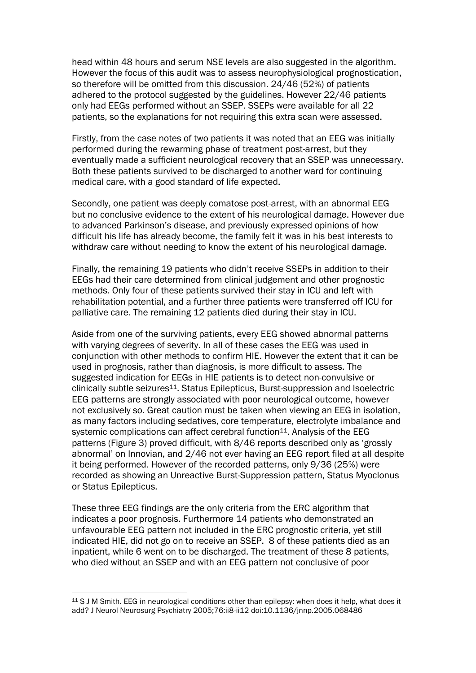head within 48 hours and serum NSE levels are also suggested in the algorithm. However the focus of this audit was to assess neurophysiological prognostication, so therefore will be omitted from this discussion. 24/46 (52%) of patients adhered to the protocol suggested by the guidelines. However 22/46 patients only had EEGs performed without an SSEP. SSEPs were available for all 22 patients, so the explanations for not requiring this extra scan were assessed.

Firstly, from the case notes of two patients it was noted that an EEG was initially performed during the rewarming phase of treatment post-arrest, but they eventually made a sufficient neurological recovery that an SSEP was unnecessary. Both these patients survived to be discharged to another ward for continuing medical care, with a good standard of life expected.

Secondly, one patient was deeply comatose post-arrest, with an abnormal EEG but no conclusive evidence to the extent of his neurological damage. However due to advanced Parkinson's disease, and previously expressed opinions of how difficult his life has already become, the family felt it was in his best interests to withdraw care without needing to know the extent of his neurological damage.

Finally, the remaining 19 patients who didn't receive SSEPs in addition to their EEGs had their care determined from clinical judgement and other prognostic methods. Only four of these patients survived their stay in ICU and left with rehabilitation potential, and a further three patients were transferred off ICU for palliative care. The remaining 12 patients died during their stay in ICU.

Aside from one of the surviving patients, every EEG showed abnormal patterns with varying degrees of severity. In all of these cases the EEG was used in conjunction with other methods to confirm HIE. However the extent that it can be used in prognosis, rather than diagnosis, is more difficult to assess. The suggested indication for EEGs in HIE patients is to detect non-convulsive or clinically subtle seizures11. Status Epilepticus, Burst-suppression and Isoelectric EEG patterns are strongly associated with poor neurological outcome, however not exclusively so. Great caution must be taken when viewing an EEG in isolation, as many factors including sedatives, core temperature, electrolyte imbalance and systemic complications can affect cerebral function<sup>11</sup>. Analysis of the EEG patterns (Figure 3) proved difficult, with 8/46 reports described only as 'grossly abnormal' on Innovian, and 2/46 not ever having an EEG report filed at all despite it being performed. However of the recorded patterns, only 9/36 (25%) were recorded as showing an Unreactive Burst-Suppression pattern, Status Myoclonus or Status Epilepticus.

These three EEG findings are the only criteria from the ERC algorithm that indicates a poor prognosis. Furthermore 14 patients who demonstrated an unfavourable EEG pattern not included in the ERC prognostic criteria, yet still indicated HIE, did not go on to receive an SSEP. 8 of these patients died as an inpatient, while 6 went on to be discharged. The treatment of these 8 patients, who died without an SSEP and with an EEG pattern not conclusive of poor

 $\overline{a}$ <sup>11</sup> S J M Smith. EEG in neurological conditions other than epilepsy: when does it help, what does it add? J Neurol Neurosurg Psychiatry 2005;76:ii8-ii12 doi:10.1136/jnnp.2005.068486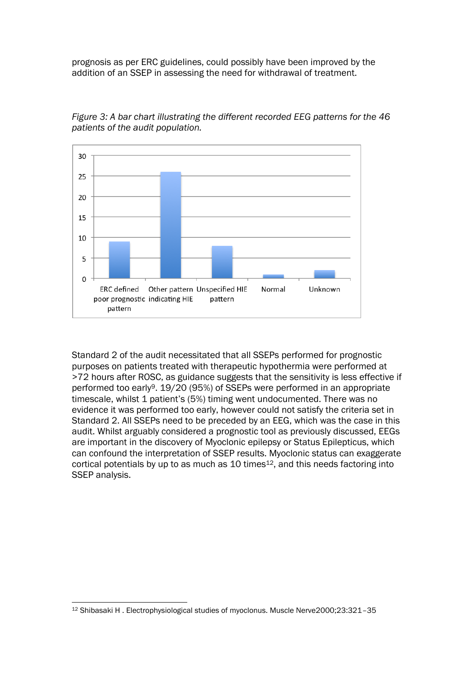prognosis as per ERC guidelines, could possibly have been improved by the addition of an SSEP in assessing the need for withdrawal of treatment.



*Figure 3: A bar chart illustrating the different recorded EEG patterns for the 46 patients of the audit population.*

Standard 2 of the audit necessitated that all SSEPs performed for prognostic purposes on patients treated with therapeutic hypothermia were performed at >72 hours after ROSC, as guidance suggests that the sensitivity is less effective if performed too early9. 19/20 (95%) of SSEPs were performed in an appropriate timescale, whilst 1 patient's (5%) timing went undocumented. There was no evidence it was performed too early, however could not satisfy the criteria set in Standard 2. All SSEPs need to be preceded by an EEG, which was the case in this audit. Whilst arguably considered a prognostic tool as previously discussed, EEGs are important in the discovery of Myoclonic epilepsy or Status Epilepticus, which can confound the interpretation of SSEP results. Myoclonic status can exaggerate cortical potentials by up to as much as 10 times<sup>12</sup>, and this needs factoring into SSEP analysis.

 $\overline{a}$ <sup>12</sup> Shibasaki H . Electrophysiological studies of myoclonus. Muscle Nerve2000;23:321–35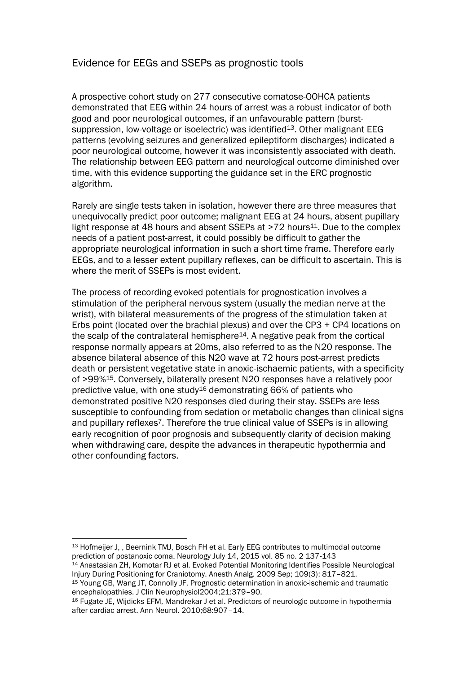### Evidence for EEGs and SSEPs as prognostic tools

A prospective cohort study on 277 consecutive comatose-OOHCA patients demonstrated that EEG within 24 hours of arrest was a robust indicator of both good and poor neurological outcomes, if an unfavourable pattern (burstsuppression, low-voltage or isoelectric) was identified<sup>13</sup>. Other malignant EEG patterns (evolving seizures and generalized epileptiform discharges) indicated a poor neurological outcome, however it was inconsistently associated with death. The relationship between EEG pattern and neurological outcome diminished over time, with this evidence supporting the guidance set in the ERC prognostic algorithm.

Rarely are single tests taken in isolation, however there are three measures that unequivocally predict poor outcome; malignant EEG at 24 hours, absent pupillary light response at 48 hours and absent SSEPs at >72 hours11. Due to the complex needs of a patient post-arrest, it could possibly be difficult to gather the appropriate neurological information in such a short time frame. Therefore early EEGs, and to a lesser extent pupillary reflexes, can be difficult to ascertain. This is where the merit of SSEPs is most evident.

The process of recording evoked potentials for prognostication involves a stimulation of the peripheral nervous system (usually the median nerve at the wrist), with bilateral measurements of the progress of the stimulation taken at Erbs point (located over the brachial plexus) and over the CP3 + CP4 locations on the scalp of the contralateral hemisphere $14$ . A negative peak from the cortical response normally appears at 20ms, also referred to as the N20 response. The absence bilateral absence of this N20 wave at 72 hours post-arrest predicts death or persistent vegetative state in anoxic-ischaemic patients, with a specificity of >99%15. Conversely, bilaterally present N20 responses have a relatively poor predictive value, with one study<sup>16</sup> demonstrating 66% of patients who demonstrated positive N20 responses died during their stay. SSEPs are less susceptible to confounding from sedation or metabolic changes than clinical signs and pupillary reflexes7. Therefore the true clinical value of SSEPs is in allowing early recognition of poor prognosis and subsequently clarity of decision making when withdrawing care, despite the advances in therapeutic hypothermia and other confounding factors.

 $\overline{a}$ <sup>13</sup> Hofmeijer J, , Beernink TMJ, Bosch FH et al. Early EEG contributes to multimodal outcome prediction of postanoxic coma. Neurology July 14, 2015 vol. 85 no. 2 137-143

<sup>14</sup> Anastasian ZH, Komotar RJ et al. Evoked Potential Monitoring Identifies Possible Neurological Injury During Positioning for Craniotomy. Anesth Analg. 2009 Sep; 109(3): 817–821.

<sup>15</sup> Young GB, Wang JT, Connolly JF. Prognostic determination in anoxic-ischemic and traumatic encephalopathies. J Clin Neurophysiol2004;21:379–90.

<sup>&</sup>lt;sup>16</sup> Fugate JE, Wijdicks EFM, Mandrekar J et al. Predictors of neurologic outcome in hypothermia after cardiac arrest. Ann Neurol. 2010;68:907–14.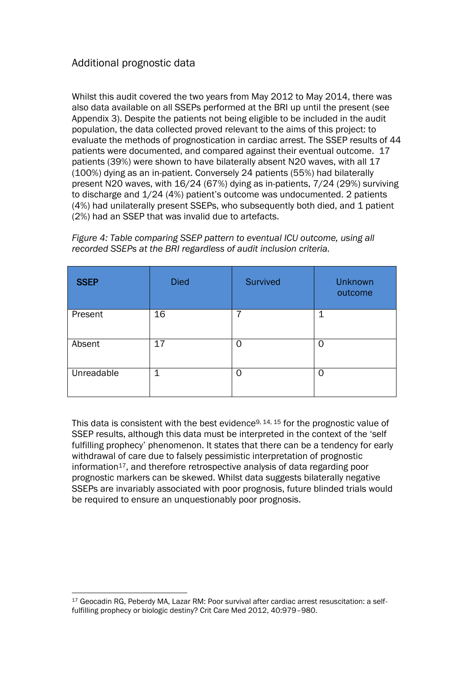## Additional prognostic data

Whilst this audit covered the two years from May 2012 to May 2014, there was also data available on all SSEPs performed at the BRI up until the present (see Appendix 3). Despite the patients not being eligible to be included in the audit population, the data collected proved relevant to the aims of this project: to evaluate the methods of prognostication in cardiac arrest. The SSEP results of 44 patients were documented, and compared against their eventual outcome. 17 patients (39%) were shown to have bilaterally absent N20 waves, with all 17 (100%) dying as an in-patient. Conversely 24 patients (55%) had bilaterally present N20 waves, with 16/24 (67%) dying as in-patients, 7/24 (29%) surviving to discharge and 1/24 (4%) patient's outcome was undocumented. 2 patients (4%) had unilaterally present SSEPs, who subsequently both died, and 1 patient (2%) had an SSEP that was invalid due to artefacts.

| <b>SSEP</b> | <b>Died</b> | <b>Survived</b> | <b>Unknown</b><br>outcome |
|-------------|-------------|-----------------|---------------------------|
| Present     | 16          | 7               | 1                         |
| Absent      | 17          | Ⴖ               | 0                         |
| Unreadable  | 1           | 0               | 0                         |

*Figure 4: Table comparing SSEP pattern to eventual ICU outcome, using all recorded SSEPs at the BRI regardless of audit inclusion criteria.*

This data is consistent with the best evidence<sup>9, 14, 15</sup> for the prognostic value of SSEP results, although this data must be interpreted in the context of the 'self fulfilling prophecy' phenomenon. It states that there can be a tendency for early withdrawal of care due to falsely pessimistic interpretation of prognostic information<sup>17</sup>, and therefore retrospective analysis of data regarding poor prognostic markers can be skewed. Whilst data suggests bilaterally negative SSEPs are invariably associated with poor prognosis, future blinded trials would be required to ensure an unquestionably poor prognosis.

 $\overline{a}$ <sup>17</sup> Geocadin RG, Peberdy MA, Lazar RM: Poor survival after cardiac arrest resuscitation: a selffulfilling prophecy or biologic destiny? Crit Care Med 2012, 40:979–980.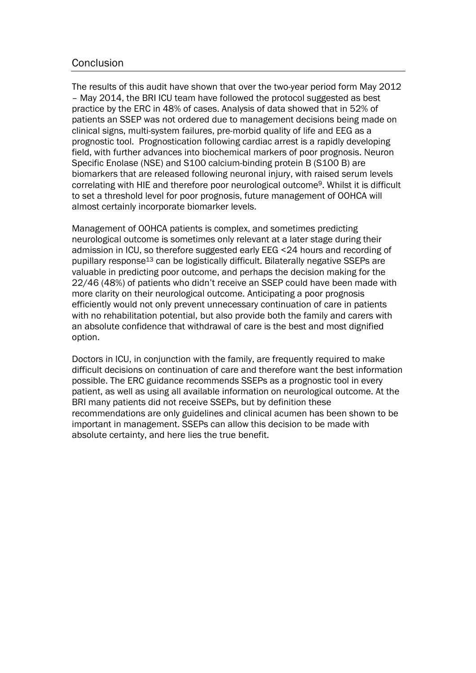#### Conclusion

The results of this audit have shown that over the two-year period form May 2012 – May 2014, the BRI ICU team have followed the protocol suggested as best practice by the ERC in 48% of cases. Analysis of data showed that in 52% of patients an SSEP was not ordered due to management decisions being made on clinical signs, multi-system failures, pre-morbid quality of life and EEG as a prognostic tool. Prognostication following cardiac arrest is a rapidly developing field, with further advances into biochemical markers of poor prognosis. Neuron Specific Enolase (NSE) and S100 calcium-binding protein B (S100 B) are biomarkers that are released following neuronal injury, with raised serum levels correlating with HIE and therefore poor neurological outcome9. Whilst it is difficult to set a threshold level for poor prognosis, future management of OOHCA will almost certainly incorporate biomarker levels.

Management of OOHCA patients is complex, and sometimes predicting neurological outcome is sometimes only relevant at a later stage during their admission in ICU, so therefore suggested early EEG <24 hours and recording of pupillary response<sup>13</sup> can be logistically difficult. Bilaterally negative SSEPs are valuable in predicting poor outcome, and perhaps the decision making for the 22/46 (48%) of patients who didn't receive an SSEP could have been made with more clarity on their neurological outcome. Anticipating a poor prognosis efficiently would not only prevent unnecessary continuation of care in patients with no rehabilitation potential, but also provide both the family and carers with an absolute confidence that withdrawal of care is the best and most dignified option.

Doctors in ICU, in conjunction with the family, are frequently required to make difficult decisions on continuation of care and therefore want the best information possible. The ERC guidance recommends SSEPs as a prognostic tool in every patient, as well as using all available information on neurological outcome. At the BRI many patients did not receive SSEPs, but by definition these recommendations are only guidelines and clinical acumen has been shown to be important in management. SSEPs can allow this decision to be made with absolute certainty, and here lies the true benefit.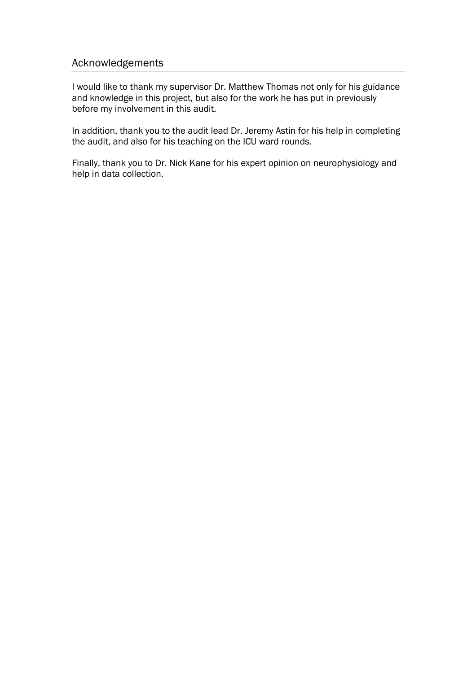#### Acknowledgements

I would like to thank my supervisor Dr. Matthew Thomas not only for his guidance and knowledge in this project, but also for the work he has put in previously before my involvement in this audit.

In addition, thank you to the audit lead Dr. Jeremy Astin for his help in completing the audit, and also for his teaching on the ICU ward rounds.

Finally, thank you to Dr. Nick Kane for his expert opinion on neurophysiology and help in data collection.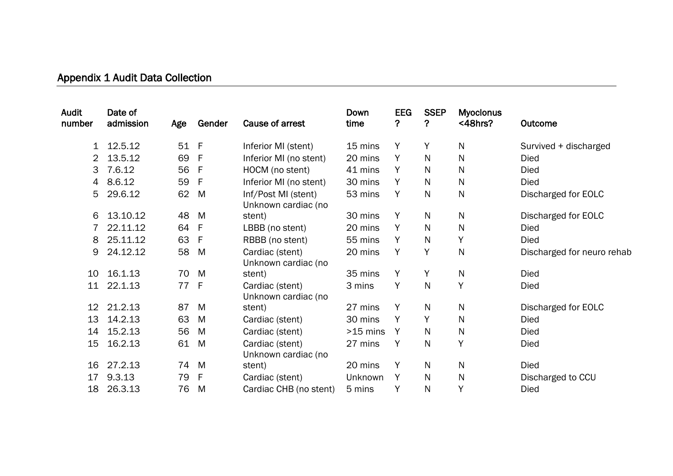# Appendix 1 Audit Data Collection

I

| Date of<br>admission | Age       | Gender       | Cause of arrest                            | Down<br>time                               | <b>EEG</b><br>? | <b>SSEP</b><br>? | <b>Myoclonus</b><br>$<$ 48hrs? | Outcome                    |
|----------------------|-----------|--------------|--------------------------------------------|--------------------------------------------|-----------------|------------------|--------------------------------|----------------------------|
|                      |           | -F           | Inferior MI (stent)                        | 15 mins                                    | Y               | Y                | N                              | Survived + discharged      |
| 13.5.12              | 69        | F            | Inferior MI (no stent)                     | 20 mins                                    | Y               | N                | N                              | <b>Died</b>                |
| 7.6.12               | 56        | F            | HOCM (no stent)                            | 41 mins                                    | Υ               | N                | N                              | Died                       |
| 8.6.12               | 59        | F            | Inferior MI (no stent)                     | 30 mins                                    | Y               | N                | N                              | Died                       |
| 29.6.12              | 62        | M            | Inf/Post MI (stent)<br>Unknown cardiac (no | 53 mins                                    | Y               | N                | N                              | Discharged for EOLC        |
| 13.10.12             | 48        | M            | stent)                                     | 30 mins                                    | Y               | N                | N                              | Discharged for EOLC        |
| 22.11.12             |           | $\mathsf{F}$ | LBBB (no stent)                            | 20 mins                                    | Y               | N                | N                              | <b>Died</b>                |
| 25.11.12             | 63        | F            | RBBB (no stent)                            | 55 mins                                    | Υ               | N                | Y                              | Died                       |
| 24.12.12             | 58        | M            | Cardiac (stent)                            | 20 mins                                    | Y               | Y                | N                              | Discharged for neuro rehab |
| 16.1.13              | 70        | M            | stent)                                     | 35 mins                                    | Y               | Y                | $\mathsf{N}$                   | Died                       |
| 22.1.13              |           | -F           | Cardiac (stent)                            | 3 mins                                     | Y               | N                | Y                              | Died                       |
| 21.2.13              | 87        | M            | stent)                                     | 27 mins                                    | Y               | $\mathsf{N}$     | $\mathsf{N}$                   | Discharged for EOLC        |
| 14.2.13              | 63        | M            | Cardiac (stent)                            | 30 mins                                    | Y               | Y                | $\mathsf{N}$                   | Died                       |
| 15.2.13              | 56        | M            | Cardiac (stent)                            | $>15$ mins                                 | Y               | N                | $\mathsf{N}$                   | Died                       |
| 16.2.13              | 61        | M            | Cardiac (stent)<br>Unknown cardiac (no     | 27 mins                                    | Υ               | N                | Y                              | Died                       |
| 27.2.13              |           | M            | stent)                                     | 20 mins                                    | Y               | N                | N                              | Died                       |
| 9.3.13               | 79        | F            | Cardiac (stent)                            | Unknown                                    | Y               | $\mathsf{N}$     | $\mathsf{N}$                   | Discharged to CCU          |
| 26.3.13              | 76        | M            | Cardiac CHB (no stent)                     | 5 mins                                     | Y               | $\mathsf{N}$     | Y                              | Died                       |
|                      | 1 12.5.12 |              | 51<br>64<br>77<br>74                       | Unknown cardiac (no<br>Unknown cardiac (no |                 |                  |                                |                            |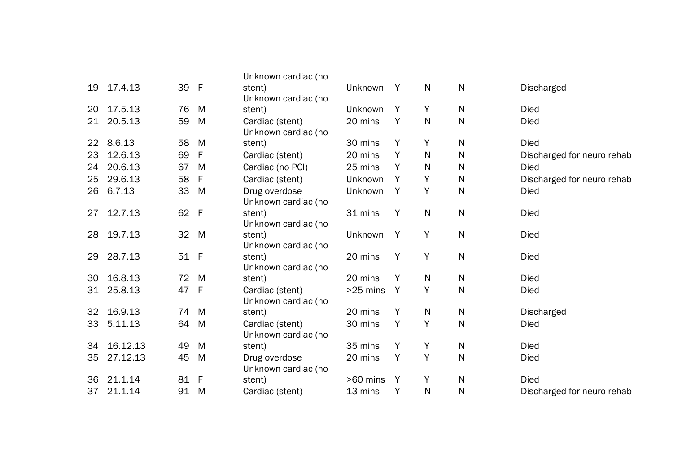|                   |          |    |              | Unknown cardiac (no |            |   |              |              |                            |
|-------------------|----------|----|--------------|---------------------|------------|---|--------------|--------------|----------------------------|
| 19                | 17.4.13  | 39 | - F          | stent)              | Unknown    | Y | N            | $\mathsf{N}$ | Discharged                 |
|                   |          |    |              | Unknown cardiac (no |            |   |              |              |                            |
| 20                | 17.5.13  | 76 | M            | stent)              | Unknown    | Y | Y            | N            | <b>Died</b>                |
| 21                | 20.5.13  | 59 | M            | Cardiac (stent)     | 20 mins    | Y | N            | $\mathsf{N}$ | <b>Died</b>                |
|                   |          |    |              | Unknown cardiac (no |            |   |              |              |                            |
| $22 \overline{ }$ | 8.6.13   | 58 | M            | stent)              | 30 mins    | Υ | Υ            | $\mathsf{N}$ | <b>Died</b>                |
| 23                | 12.6.13  | 69 | F            | Cardiac (stent)     | 20 mins    | Y | $\mathsf{N}$ | $\mathsf{N}$ | Discharged for neuro rehab |
| 24                | 20.6.13  | 67 | M            | Cardiac (no PCI)    | 25 mins    | Y | $\mathsf{N}$ | $\mathsf{N}$ | <b>Died</b>                |
| 25                | 29.6.13  | 58 | F            | Cardiac (stent)     | Unknown    | Y | Υ            | N            | Discharged for neuro rehab |
| 26                | 6.7.13   | 33 | M            | Drug overdose       | Unknown    | Y | Υ            | $\mathsf{N}$ | <b>Died</b>                |
|                   |          |    |              | Unknown cardiac (no |            |   |              |              |                            |
| 27                | 12.7.13  | 62 | - F          | stent)              | 31 mins    | Y | $\mathsf{N}$ | ${\sf N}$    | <b>Died</b>                |
|                   |          |    |              | Unknown cardiac (no |            |   |              |              |                            |
| 28                | 19.7.13  | 32 | M            | stent)              | Unknown    | Y | Y            | $\mathsf{N}$ | <b>Died</b>                |
|                   |          |    |              | Unknown cardiac (no |            |   |              |              |                            |
| 29                | 28.7.13  | 51 | - F          | stent)              | 20 mins    | Υ | Y            | $\mathsf{N}$ | <b>Died</b>                |
|                   |          |    |              | Unknown cardiac (no |            |   |              |              |                            |
| 30                | 16.8.13  | 72 | M            | stent)              | 20 mins    | Y | N            | N            | <b>Died</b>                |
| 31                | 25.8.13  | 47 | - F          | Cardiac (stent)     | $>25$ mins | Y | Y            | $\mathsf{N}$ | <b>Died</b>                |
|                   |          |    |              | Unknown cardiac (no |            |   |              |              |                            |
| 32                | 16.9.13  | 74 | M            | stent)              | 20 mins    | Y | N            | N            | <b>Discharged</b>          |
| 33                | 5.11.13  | 64 | M            | Cardiac (stent)     | 30 mins    | Y | Y            | $\mathsf{N}$ | <b>Died</b>                |
|                   |          |    |              | Unknown cardiac (no |            |   |              |              |                            |
| 34                | 16.12.13 | 49 | M            | stent)              | 35 mins    | Y | Y            | $\mathsf{N}$ | <b>Died</b>                |
| 35                | 27.12.13 | 45 | M            | Drug overdose       | 20 mins    | Y | Υ            | $\mathsf{N}$ | <b>Died</b>                |
|                   |          |    |              | Unknown cardiac (no |            |   |              |              |                            |
| 36                | 21.1.14  | 81 | $\mathsf{F}$ | stent)              | >60 mins   | Y | Υ            | $\mathsf{N}$ | <b>Died</b>                |
| 37                | 21.1.14  | 91 | M            | Cardiac (stent)     | 13 mins    | Υ | N            | N            | Discharged for neuro rehab |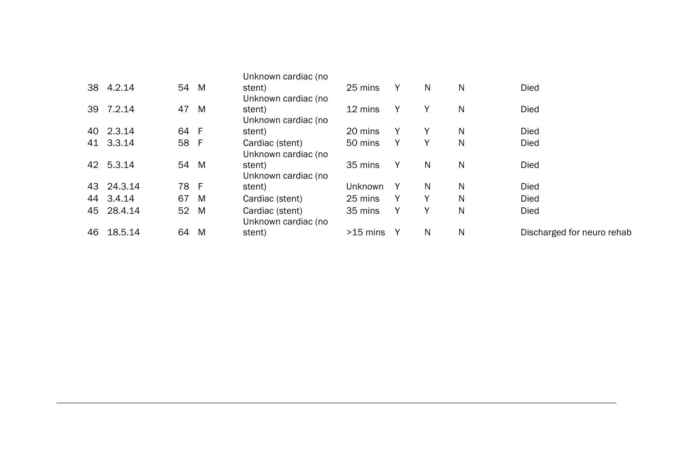|    |            |                 |   | Unknown cardiac (no |              |              |    |   |                            |
|----|------------|-----------------|---|---------------------|--------------|--------------|----|---|----------------------------|
|    | 38 4.2.14  | 54 M            |   | stent)              | 25 mins      | Y            | N  | N | Died                       |
|    |            |                 |   | Unknown cardiac (no |              |              |    |   |                            |
|    | 39 7.2.14  | 47 M            |   | stent)              | 12 mins      | Y            | Y  | N | <b>Died</b>                |
|    |            |                 |   | Unknown cardiac (no |              |              |    |   |                            |
|    | 40 2.3.14  | 64 F            |   | stent)              | 20 mins      | Y            | Y  | N | <b>Died</b>                |
|    | 41 3.3.14  | 58 F            |   | Cardiac (stent)     | 50 mins      | Y            | Y  | N | <b>Died</b>                |
|    |            |                 |   | Unknown cardiac (no |              |              |    |   |                            |
|    | 42 5.3.14  | 54 M            |   | stent)              | 35 mins      | Y            | N  | N | Died                       |
|    |            |                 |   | Unknown cardiac (no |              |              |    |   |                            |
|    | 43 24.3.14 | 78 F            |   | stent)              | Unknown      | $\mathsf{Y}$ | N. | N | Died                       |
|    | 44 3.4.14  | 67              | M | Cardiac (stent)     | 25 mins      | Y            | Y  | N | <b>Died</b>                |
|    | 45 28.4.14 | 52 <sub>2</sub> | M | Cardiac (stent)     | 35 mins      | Y            | Υ  | N | <b>Died</b>                |
|    |            |                 |   | Unknown cardiac (no |              |              |    |   |                            |
| 46 | 18.5.14    | 64              | M | stent)              | $>15$ mins Y |              | N  | N | Discharged for neuro rehab |
|    |            |                 |   |                     |              |              |    |   |                            |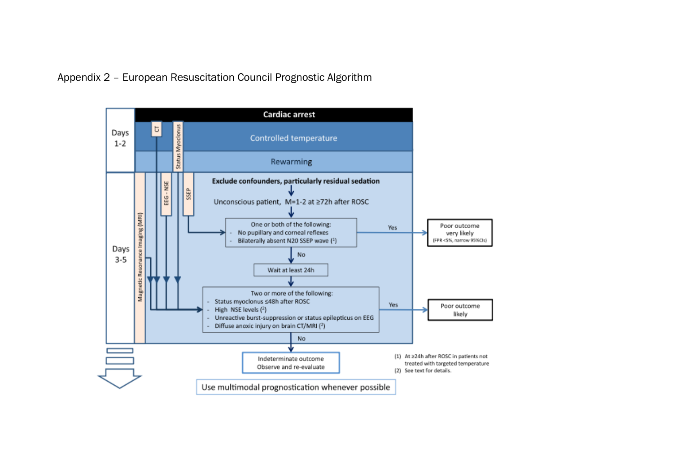I

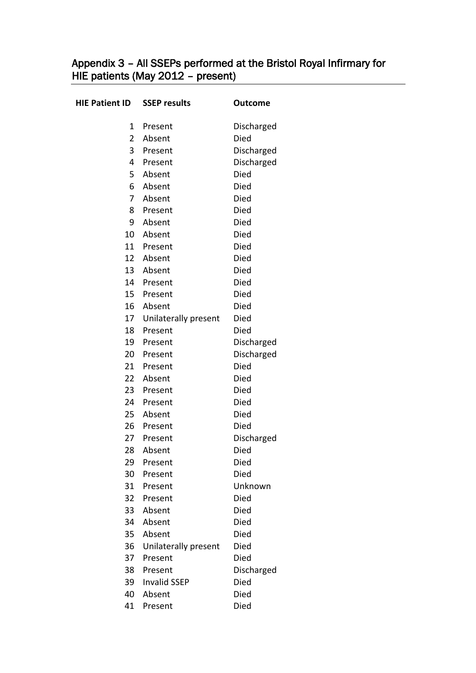## Appendix 3 – All SSEPs performed at the Bristol Royal Infirmary for HIE patients (May 2012 – present)

| <b>HIE Patient ID</b> | <b>SSEP results</b>  | <b>Outcome</b> |
|-----------------------|----------------------|----------------|
| 1                     | Present              | Discharged     |
| $\overline{2}$        | Absent               | Died           |
| 3                     | Present              | Discharged     |
| 4                     | Present              | Discharged     |
| 5                     | Absent               | Died           |
| 6                     | Absent               | <b>Died</b>    |
| 7                     | Absent               | Died           |
| 8                     | Present              | <b>Died</b>    |
| 9                     | Absent               | Died           |
| 10                    | Absent               | Died           |
| 11                    | Present              | Died           |
| 12                    | Absent               | <b>Died</b>    |
| 13                    | Absent               | Died           |
| 14                    | Present              | Died           |
| 15                    | Present              | Died           |
| 16                    | Absent               | Died           |
| 17                    | Unilaterally present | Died           |
| 18                    | Present              | Died           |
| 19                    | Present              | Discharged     |
|                       | 20 Present           | Discharged     |
| 21                    | Present              | Died           |
| 22 <sub>2</sub>       | Absent               | Died           |
| 23                    | Present              | Died           |
|                       | 24 Present           | Died           |
| 25                    | Absent               | Died           |
| 26                    | Present              | Died           |
| 27                    | Present              | Discharged     |
| 28                    | Absent               | Died           |
| 29                    | Present              | Died           |
| 30                    | Present              | Died           |
| 31                    | Present              | Unknown        |
| 32                    | Present              | <b>Died</b>    |
| 33                    | Absent               | Died           |
| 34                    | Absent               | <b>Died</b>    |
| 35                    | Absent               | Died           |
| 36                    | Unilaterally present | Died           |
| 37                    | Present              | <b>Died</b>    |
| 38                    | Present              | Discharged     |
| 39                    | <b>Invalid SSEP</b>  | Died           |
| 40                    | Absent               | Died           |
| 41                    | Present              | Died           |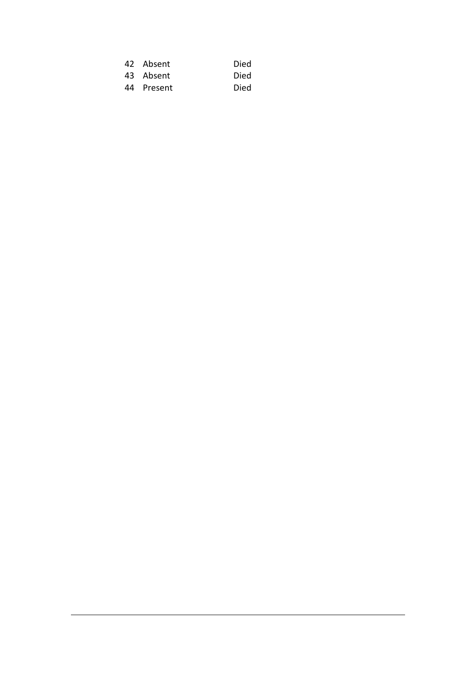| 42 Absent  | Died |
|------------|------|
| 43 Absent  | Died |
| 44 Present | Died |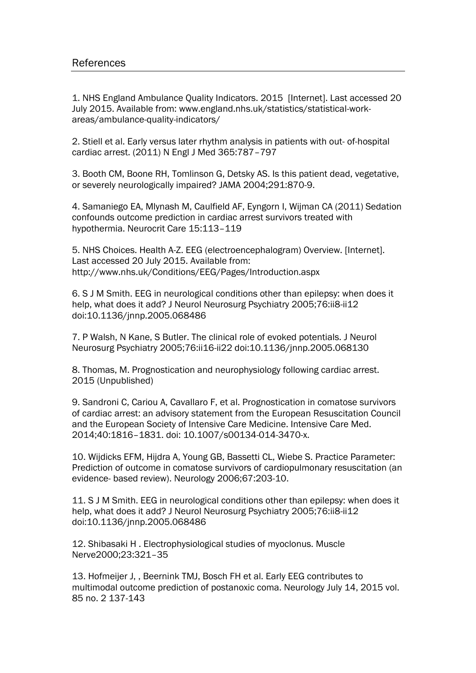1. NHS England Ambulance Quality Indicators. 2015 [Internet]. Last accessed 20 July 2015. Available from: www.england.nhs.uk/statistics/statistical-workareas/ambulance-quality-indicators/

2. Stiell et al. Early versus later rhythm analysis in patients with out- of-hospital cardiac arrest. (2011) N Engl J Med 365:787–797

3. Booth CM, Boone RH, Tomlinson G, Detsky AS. Is this patient dead, vegetative, or severely neurologically impaired? JAMA 2004;291:870-9.

4. Samaniego EA, Mlynash M, Caulfield AF, Eyngorn I, Wijman CA (2011) Sedation confounds outcome prediction in cardiac arrest survivors treated with hypothermia. Neurocrit Care 15:113–119

5. NHS Choices. Health A-Z. EEG (electroencephalogram) Overview. [Internet]. Last accessed 20 July 2015. Available from: http://www.nhs.uk/Conditions/EEG/Pages/Introduction.aspx

6. S J M Smith. EEG in neurological conditions other than epilepsy: when does it help, what does it add? J Neurol Neurosurg Psychiatry 2005;76:ii8-ii12 doi:10.1136/jnnp.2005.068486

7. P Walsh, N Kane, S Butler. The clinical role of evoked potentials. J Neurol Neurosurg Psychiatry 2005;76:ii16-ii22 doi:10.1136/jnnp.2005.068130

8. Thomas, M. Prognostication and neurophysiology following cardiac arrest. 2015 (Unpublished)

9. Sandroni C, Cariou A, Cavallaro F, et al. Prognostication in comatose survivors of cardiac arrest: an advisory statement from the European Resuscitation Council and the European Society of Intensive Care Medicine. Intensive Care Med. 2014;40:1816–1831. doi: 10.1007/s00134-014-3470-x.

10. Wijdicks EFM, Hijdra A, Young GB, Bassetti CL, Wiebe S. Practice Parameter: Prediction of outcome in comatose survivors of cardiopulmonary resuscitation (an evidence- based review). Neurology 2006;67:203-10.

11. S J M Smith. EEG in neurological conditions other than epilepsy: when does it help, what does it add? J Neurol Neurosurg Psychiatry 2005;76:ii8-ii12 doi:10.1136/jnnp.2005.068486

12. Shibasaki H . Electrophysiological studies of myoclonus. Muscle Nerve2000;23:321–35

13. Hofmeijer J, , Beernink TMJ, Bosch FH et al. Early EEG contributes to multimodal outcome prediction of postanoxic coma. Neurology July 14, 2015 vol. 85 no. 2 137-143